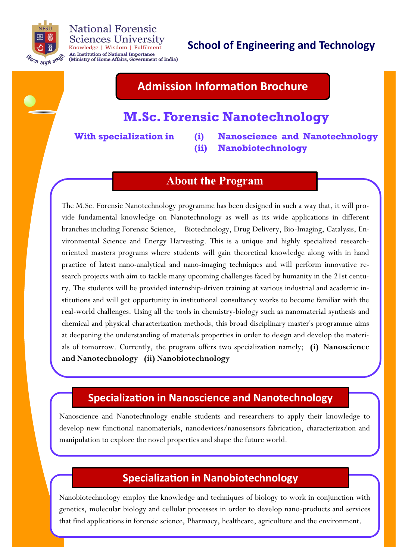

#### **National Forensic Sciences University** Knowledge | Wisdom | Fulfilment An Institution of National Importance (Ministry of Home Affairs, Government of India)

# **School of Engineering and Technology**

# **Admission Information Brochure**

## **M.Sc. Forensic Nanotechnology**

**With specialization in (i) Nanoscience and Nanotechnology (ii) Nanobiotechnology**

### **About the Program**

The M.Sc. Forensic Nanotechnology programme has been designed in such a way that, it will provide fundamental knowledge on Nanotechnology as well as its wide applications in different branches including Forensic Science, Biotechnology, Drug Delivery, Bio-Imaging, Catalysis, Environmental Science and Energy Harvesting. This is a unique and highly specialized researchoriented masters programs where students will gain theoretical knowledge along with in hand practice of latest nano-analytical and nano-imaging techniques and will perform innovative research projects with aim to tackle many upcoming challenges faced by humanity in the 21st century. The students will be provided internship-driven training at various industrial and academic institutions and will get opportunity in institutional consultancy works to become familiar with the real-world challenges. Using all the tools in chemistry-biology such as nanomaterial synthesis and chemical and physical characterization methods, this broad disciplinary master's programme aims at deepening the understanding of materials properties in order to design and develop the materials of tomorrow. Currently, the program offers two specialization namely; **(i) Nanoscience and Nanotechnology (ii) Nanobiotechnology** 

### **Specialization in Nanoscience and Nanotechnology**

Nanoscience and Nanotechnology enable students and researchers to apply their knowledge to develop new functional nanomaterials, nanodevices/nanosensors fabrication, characterization and manipulation to explore the novel properties and shape the future world.

### **Specialization in Nanobiotechnology**

Nanobiotechnology employ the knowledge and techniques of biology to work in conjunction with genetics, molecular biology and cellular processes in order to develop nano-products and services that find applications in forensic science, Pharmacy, healthcare, agriculture and the environment.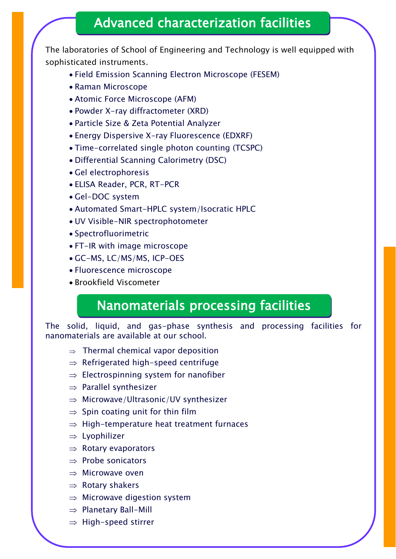# Advanced characterization facilities

The laboratories of School of Engineering and Technology is well equipped with sophisticated instruments.

- Field Emission Scanning Electron Microscope (FESEM)
- Raman Microscope
- Atomic Force Microscope (AFM)
- Powder X-ray diffractometer (XRD)
- Particle Size & Zeta Potential Analyzer
- Energy Dispersive X-ray Fluorescence (EDXRF)
- Time-correlated single photon counting (TCSPC)
- Differential Scanning Calorimetry (DSC)
- Gel electrophoresis
- ELISA Reader, PCR, RT-PCR
- Gel-DOC system
- Automated Smart-HPLC system/Isocratic HPLC
- UV Visible-NIR spectrophotometer
- Spectrofluorimetric
- FT-IR with image microscope
- GC-MS, LC/MS/MS, ICP-OES
- Fluorescence microscope
- Brookfield Viscometer

# Nanomaterials processing facilities

The solid, liquid, and gas-phase synthesis and processing facilities for nanomaterials are available at our school.

- $\Rightarrow$  Thermal chemical vapor deposition
- $\Rightarrow$  Refrigerated high-speed centrifuge
- $\Rightarrow$  Electrospinning system for nanofiber
- $\Rightarrow$  Parallel synthesizer
- $\Rightarrow$  Microwave/Ultrasonic/UV synthesizer
- $\Rightarrow$  Spin coating unit for thin film
- $\Rightarrow$  High-temperature heat treatment furnaces
- $\Rightarrow$  Lyophilizer
- $\Rightarrow$  Rotary evaporators
- $\Rightarrow$  Probe sonicators
- $\Rightarrow$  Microwave oven
- $\Rightarrow$  Rotary shakers
- $\Rightarrow$  Microwave digestion system
- $\Rightarrow$  Planetary Ball-Mill
- $\Rightarrow$  High-speed stirrer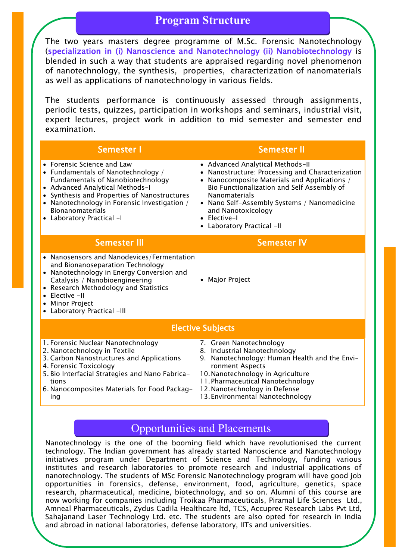### **Program Structure**

The two years masters degree programme of M.Sc. Forensic Nanotechnology (specialization in (i) Nanoscience and Nanotechnology (ii) Nanobiotechnology is blended in such a way that students are appraised regarding novel phenomenon of nanotechnology, the synthesis, properties, characterization of nanomaterials as well as applications of nanotechnology in various fields.

The students performance is continuously assessed through assignments, periodic tests, quizzes, participation in workshops and seminars, industrial visit, expert lectures, project work in addition to mid semester and semester end examination.

|                          | <b>Semester I</b>                                                                                                                                                                                                                                                                                       | <b>Semester II</b>                                                                                                                                                                                                                                                                                                          |
|--------------------------|---------------------------------------------------------------------------------------------------------------------------------------------------------------------------------------------------------------------------------------------------------------------------------------------------------|-----------------------------------------------------------------------------------------------------------------------------------------------------------------------------------------------------------------------------------------------------------------------------------------------------------------------------|
|                          | • Forensic Science and Law<br>• Fundamentals of Nanotechnology /<br><b>Fundamentals of Nanobiotechnology</b><br>• Advanced Analytical Methods-I<br>• Synthesis and Properties of Nanostructures<br>• Nanotechnology in Forensic Investigation /<br><b>Bionanomaterials</b><br>• Laboratory Practical -I | • Advanced Analytical Methods-II<br>• Nanostructure: Processing and Characterization<br>Nanocomposite Materials and Applications /<br>Bio Functionalization and Self Assembly of<br><b>Nanomaterials</b><br>• Nano Self-Assembly Systems / Nanomedicine<br>and Nanotoxicology<br>• Elective-I<br>• Laboratory Practical -II |
|                          | <b>Semester III</b>                                                                                                                                                                                                                                                                                     | <b>Semester IV</b>                                                                                                                                                                                                                                                                                                          |
|                          | • Nanosensors and Nanodevices/Fermentation<br>and Bionanoseparation Technology<br>• Nanotechnology in Energy Conversion and<br>Catalysis / Nanobioengineering<br>• Research Methodology and Statistics<br>Elective -II<br><b>Minor Project</b><br>• Laboratory Practical -III                           | • Major Project                                                                                                                                                                                                                                                                                                             |
| <b>Elective Subjects</b> |                                                                                                                                                                                                                                                                                                         |                                                                                                                                                                                                                                                                                                                             |
|                          | 1. Forensic Nuclear Nanotechnology<br>2. Nanotechnology in Textile<br>3. Carbon Nanostructures and Applications<br>4. Forensic Toxicology<br>5. Bio Interfacial Strategies and Nano Fabrica-<br>tions<br>6. Nanocomposites Materials for Food Packag-<br>ing                                            | 7. Green Nanotechnology<br>8. Industrial Nanotechnology<br>9. Nanotechnology: Human Health and the Envi-<br>ronment Aspects<br>10. Nanotechnology in Agriculture<br>11. Pharmaceutical Nanotechnology<br>12. Nanotechnology in Defense<br>13. Environmental Nanotechnology                                                  |

### Opportunities and Placements

Nanotechnology is the one of the booming field which have revolutionised the current technology. The Indian government has already started Nanoscience and Nanotechnology initiatives program under Department of Science and Technology, funding various institutes and research laboratories to promote research and industrial applications of nanotechnology. The students of MSc Forensic Nanotechnology program will have good job opportunities in forensics, defense, environment, food, agriculture, genetics, space research, pharmaceutical, medicine, biotechnology, and so on. Alumni of this course are now working for companies including Troikaa Pharmaceuticals, Piramal Life Sciences Ltd., [Amneal Pharmaceuticals,](https://amneal.com/) Zydus Cadila Healthcare ltd, TCS, [Accuprec Research Labs Pvt Ltd,](http://www.accuprec.com/) Sahajanand Laser Technology Ltd. etc. The students are also opted for research in India and abroad in national laboratories, defense laboratory, IITs and universities.